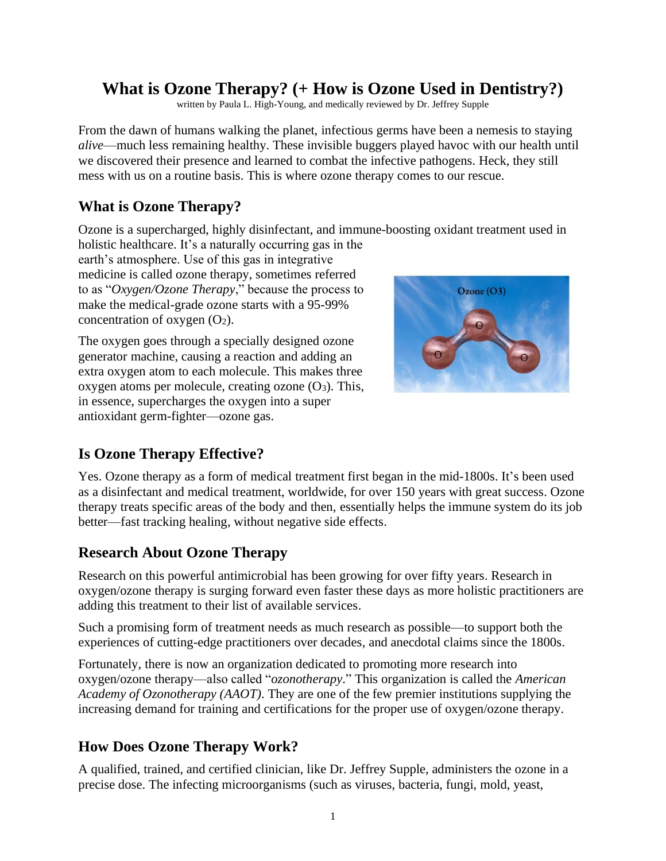# **What is Ozone Therapy? (+ How is Ozone Used in Dentistry?)**

written by Paula L. High-Young, and medically reviewed by Dr. Jeffrey Supple

From the dawn of humans walking the planet, infectious germs have been a nemesis to staying *alive*—much less remaining healthy. These invisible buggers played havoc with our health until we discovered their presence and learned to combat the infective pathogens. Heck, they still mess with us on a routine basis. This is where ozone therapy comes to our rescue.

### **What is Ozone Therapy?**

Ozone is a supercharged, highly disinfectant, and immune-boosting oxidant treatment used in holistic healthcare. It's a naturally occurring gas in the

earth's atmosphere. Use of this gas in integrative medicine is called ozone therapy, sometimes referred to as "*Oxygen/Ozone Therapy*," because the process to make the medical-grade ozone starts with a 95-99% concentration of oxygen  $(O_2)$ .

The oxygen goes through a specially designed ozone generator machine, causing a reaction and adding an extra oxygen atom to each molecule. This makes three oxygen atoms per molecule, creating ozone  $(O_3)$ . This, in essence, supercharges the oxygen into a super antioxidant germ-fighter—ozone gas.



## **Is Ozone Therapy Effective?**

Yes. Ozone therapy as a form of medical treatment first began in the mid-1800s. It's been used as a disinfectant and medical treatment, worldwide, for over 150 years with great success. Ozone therapy treats specific areas of the body and then, essentially helps the immune system do its job better—fast tracking healing, without negative side effects.

#### **Research About Ozone Therapy**

Research on this powerful antimicrobial has been growing for over fifty years. Research in oxygen/ozone therapy is surging forward even faster these days as more holistic practitioners are adding this treatment to their list of available services.

Such a promising form of treatment needs as much research as possible—to support both the experiences of cutting-edge practitioners over decades, and anecdotal claims since the 1800s.

Fortunately, there is now an organization dedicated to promoting more research into oxygen/ozone therapy—also called "*ozonotherapy*." This organization is called the *American Academy of Ozonotherapy (AAOT)*. They are one of the few premier institutions supplying the increasing demand for training and certifications for the proper use of oxygen/ozone therapy.

## **How Does Ozone Therapy Work?**

A qualified, trained, and certified clinician, like Dr. Jeffrey Supple, administers the ozone in a precise dose. The infecting microorganisms (such as viruses, bacteria, fungi, mold, yeast,